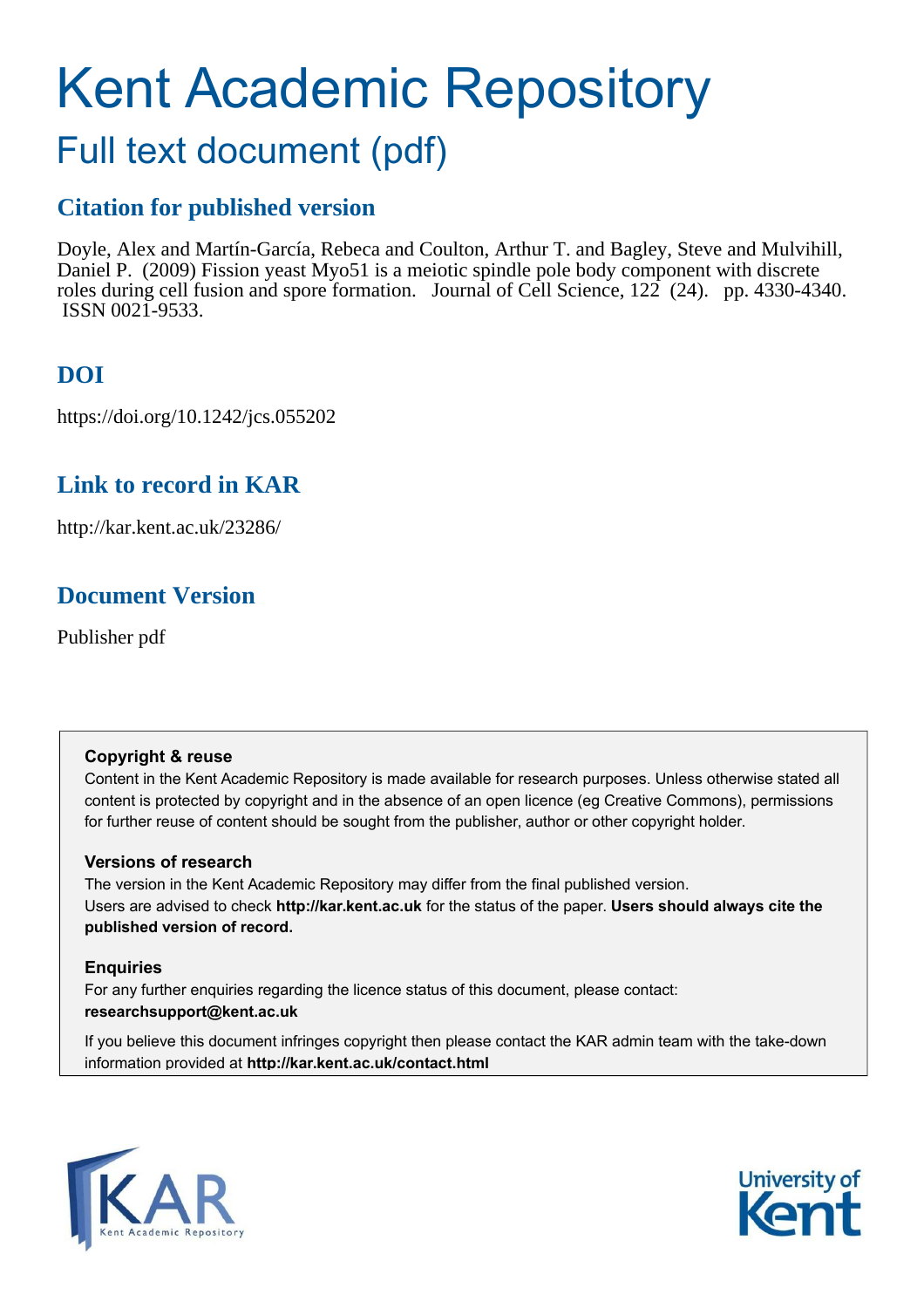# Kent Academic Repository

## Full text document (pdf)

## **Citation for published version**

Doyle, Alex and Martín-García, Rebeca and Coulton, Arthur T. and Bagley, Steve and Mulvihill, Daniel P. (2009) Fission yeast Myo51 is a meiotic spindle pole body component with discrete roles during cell fusion and spore formation. Journal of Cell Science, 122 (24). pp. 4330-4340. ISSN 0021-9533.

## **DOI**

https://doi.org/10.1242/jcs.055202

## **Link to record in KAR**

http://kar.kent.ac.uk/23286/

## **Document Version**

Publisher pdf

#### **Copyright & reuse**

Content in the Kent Academic Repository is made available for research purposes. Unless otherwise stated all content is protected by copyright and in the absence of an open licence (eg Creative Commons), permissions for further reuse of content should be sought from the publisher, author or other copyright holder.

## **Versions of research**

The version in the Kent Academic Repository may differ from the final published version. Users are advised to check **http://kar.kent.ac.uk** for the status of the paper. **Users should always cite the published version of record.**

## **Enquiries**

For any further enquiries regarding the licence status of this document, please contact: **researchsupport@kent.ac.uk**

If you believe this document infringes copyright then please contact the KAR admin team with the take-down information provided at **http://kar.kent.ac.uk/contact.html**



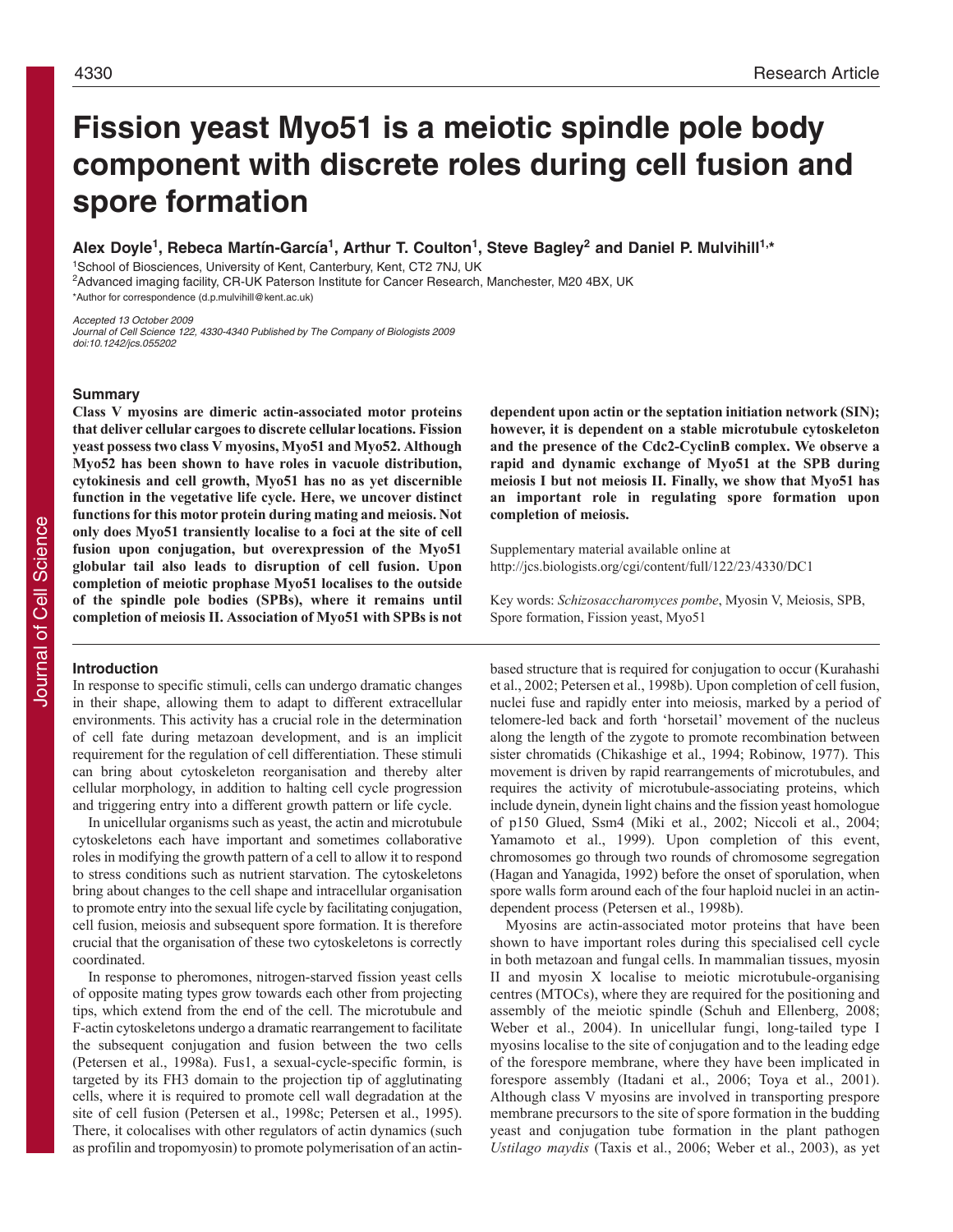## **Fission yeast Myo51 is a meiotic spindle pole body component with discrete roles during cell fusion and spore formation**

Alex Doyle<sup>1</sup>, Rebeca Martín-García<sup>1</sup>, Arthur T. Coulton<sup>1</sup>, Steve Bagley<sup>2</sup> and Daniel P. Mulvihill<sup>1,\*</sup>

<sup>1</sup>School of Biosciences, University of Kent, Canterbury, Kent, CT2 7NJ, UK <sup>2</sup>Advanced imaging facility, CR-UK Paterson Institute for Cancer Research, Manchester, M20 4BX, UK \*Author for correspondence (d.p.mulvihill@kent.ac.uk)

Accepted 13 October 2009 Journal of Cell Science 122, 4330-4340 Published by The Company of Biologists 2009 doi:10.1242/jcs.055202

#### **Summary**

**Class & myosins are dimeric actin-associated motor proteins that deliver cellular cargoes to discrete cellular locations. Fission yeast possess two class & myosins, Myo51 and Myo52. Although Myo52 has been shown to have roles in vacuole distribution, cytokinesis and cell growth, Myo51 has no as yet discernible function in the vegetative life cycle. Here, we uncover distinct functions for this motor protein during mating and meiosis. Not only does Myo51 transiently localise to a foci at the site of cell fusion upon conjugation, but overexpression of the Myo51 globular tail also leads to disruption of cell fusion. Upon completion of meiotic prophase Myo51 localises to the outside of the spindle pole bodies (SPBs), where it remains until completion of meiosis II. Association of Myo51 with SPBs is not**

#### **Introduction**

In response to specific stimuli, cells can undergo dramatic changes in their shape, allowing them to adapt to different extracellular environments. This activity has a crucial role in the determination of cell fate during metazoan development, and is an implicit requirement for the regulation of cell differentiation. These stimuli can bring about cytoskeleton reorganisation and thereby alter cellular morphology, in addition to halting cell cycle progression and triggering entry into a different growth pattern or life cycle.

In unicellular organisms such as yeast, the actin and microtubule cytoskeletons each have important and sometimes collaborative roles in modifying the growth pattern of a cell to allow it to respond to stress conditions such as nutrient starvation. The cytoskeletons bring about changes to the cell shape and intracellular organisation to promote entry into the sexual life cycle by facilitating conjugation, cell fusion, meiosis and subsequent spore formation. It is therefore crucial that the organisation of these two cytoskeletons is correctly coordinated.

In response to pheromones, nitrogen-starved fission yeast cells of opposite mating types grow towards each other from projecting tips, which extend from the end of the cell. The microtubule and F-actin cytoskeletons undergo a dramatic rearrangement to facilitate the subsequent conjugation and fusion between the two cells (Petersen et al., 1998a). Fus1, a sexual-cycle-specific formin, is targeted by its FH3 domain to the projection tip of agglutinating cells, where it is required to promote cell wall degradation at the site of cell fusion (Petersen et al., 1998c; Petersen et al., 1995). There, it colocalises with other regulators of actin dynamics (such as profilin and tropomyosin) to promote polymerisation of an actin**dependent upon actin or the septation initiation network (SIN); however, it is dependent on a stable microtubule cytoskeleton and the presence of the Cdc2-CyclinB complex. Οe observe a rapid and dynamic exchange of Myo51 at the SPB during meiosis I but not meiosis II. Finally, we show that Myo51 has an important role in regulating spore formation upon completion of meiosis.**

Supplementary material available online at http://jcs.biologists.org/cgi/content/full/122/23/4330/DC1

Key words: Schizosaccharomyces pombe, Myosin V, Meiosis, SPB, Spore formation, Fission yeast, Myo51

based structure that is required for conjugation to occur (Kurahashi et al., 2002; Petersen et al., 1998b). Upon completion of cell fusion, nuclei fuse and rapidly enter into meiosis, marked by a period of telomere-led back and forth 'horsetail' movement of the nucleus along the length of the zygote to promote recombination between sister chromatids (Chikashige et al., 1994; Robinow, 1977). This movement is driven by rapid rearrangements of microtubules, and requires the activity of microtubule-associating proteins, which include dynein, dynein light chains and the fission yeast homologue of p150 Glued, Ssm4 (Miki et al., 2002; Niccoli et al., 2004; Yamamoto et al., 1999). Upon completion of this event, chromosomes go through two rounds of chromosome segregation (Hagan and Yanagida, 1992) before the onset of sporulation, when spore walls form around each of the four haploid nuclei in an actindependent process (Petersen et al., 1998b).

Myosins are actin-associated motor proteins that have been shown to have important roles during this specialised cell cycle in both metazoan and fungal cells. In mammalian tissues, myosin II and myosin X localise to meiotic microtubule-organising centres (MTOCs), where they are required for the positioning and assembly of the meiotic spindle (Schuh and Ellenberg, 2008; Weber et al., 2004). In unicellular fungi, long-tailed type I myosins localise to the site of conjugation and to the leading edge of the forespore membrane, where they have been implicated in forespore assembly (Itadani et al., 2006; Toya et al., 2001). Although class V myosins are involved in transporting prespore membrane precursors to the site of spore formation in the budding yeast and conjugation tube formation in the plant pathogen *Ustilago maydis* (Taxis et al., 2006; Weber et al., 2003), as yet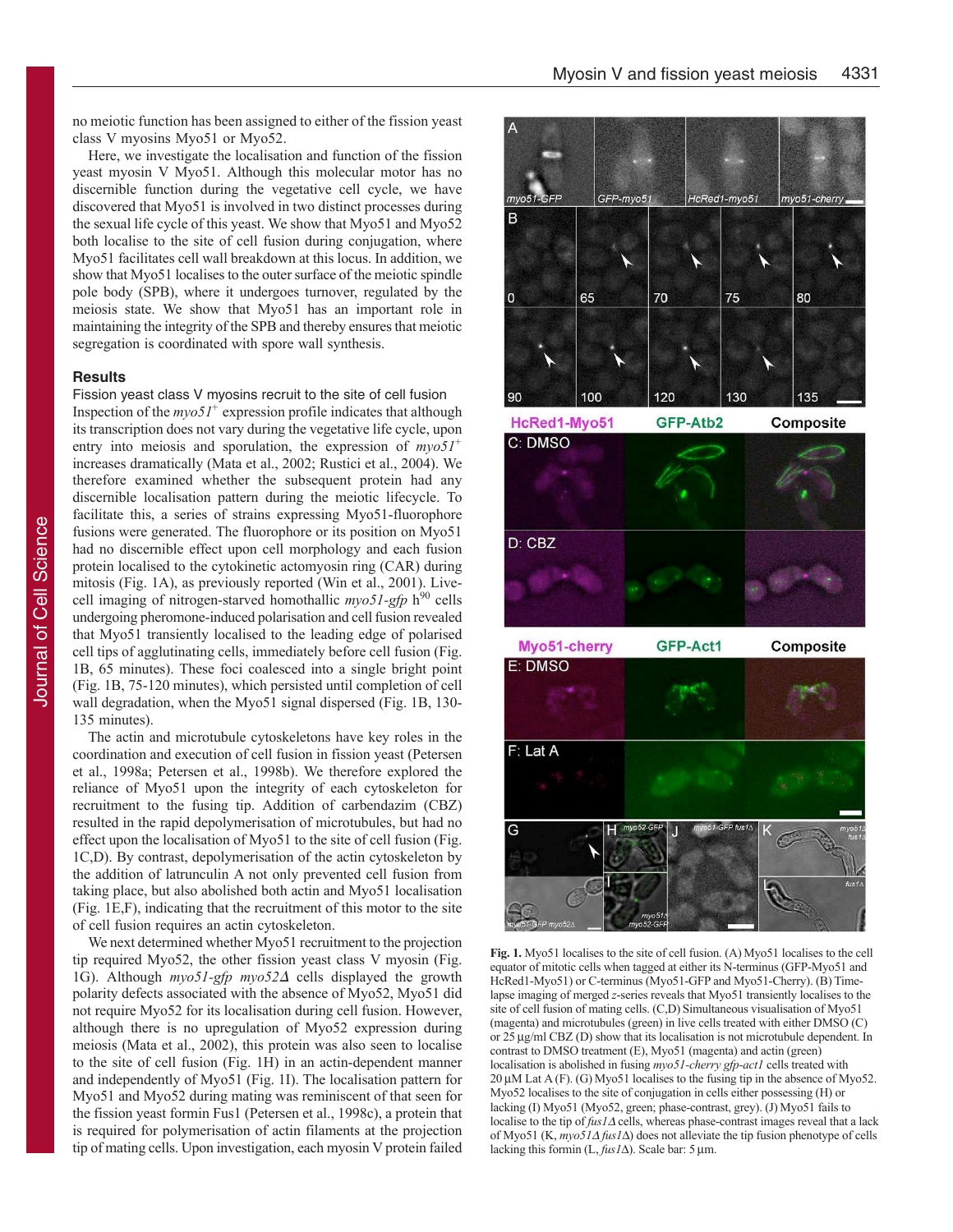no meiotic function has been assigned to either of the fission yeast class V myosins Myo51 or Myo52.

Here, we investigate the localisation and function of the fission yeast myosin V Myo51. Although this molecular motor has no discernible function during the vegetative cell cycle, we have discovered that Myo51 is involved in two distinct processes during the sexual life cycle of this yeast. We show that Myo51 and Myo52 both localise to the site of cell fusion during conjugation, where Myo51 facilitates cell wall breakdown at this locus. In addition, we show that Myo51 localises to the outer surface of the meiotic spindle pole body (SPB), where it undergoes turnover, regulated by the meiosis state. We show that Myo51 has an important role in maintaining the integrity of the SPB and thereby ensures that meiotic segregation is coordinated with spore wall synthesis.

#### **Results**

Fission yeast class V myosins recruit to the site of cell fusion Inspection of the  $m\gamma o5I^+$  expression profile indicates that although its transcription does not vary during the vegetative life cycle, upon entry into meiosis and sporulation, the expression of  $myo51<sup>+</sup>$ increases dramatically (Mata et al., 2002; Rustici et al., 2004). We therefore examined whether the subsequent protein had any discernible localisation pattern during the meiotic lifecycle. To facilitate this, a series of strains expressing Myo51-fluorophore fusions were generated. The fluorophore or its position on Myo51 had no discernible effect upon cell morphology and each fusion protein localised to the cytokinetic actomyosin ring (CAR) during mitosis (Fig. 1A), as previously reported (Win et al., 2001). Livecell imaging of nitrogen-starved homothallic  $myo51-gfp$  h<sup>90</sup> cells undergoing pheromone-induced polarisation and cell fusion revealed that Myo51 transiently localised to the leading edge of polarised cell tips of agglutinating cells, immediately before cell fusion (Fig. 1B, 65 minutes). These foci coalesced into a single bright point (Fig. 1B, 75-120 minutes), which persisted until completion of cell wall degradation, when the Myo51 signal dispersed (Fig. 1B, 130-135 minutes).

The actin and microtubule cytoskeletons have key roles in the coordination and execution of cell fusion in fission yeast (Petersen et al., 1998a; Petersen et al., 1998b). We therefore explored the reliance of Myo51 upon the integrity of each cytoskeleton for recruitment to the fusing tip. Addition of carbendazim (CBZ) resulted in the rapid depolymerisation of microtubules, but had no effect upon the localisation of Myo51 to the site of cell fusion (Fig. 1C,D). By contrast, depolymerisation of the actin cytoskeleton by the addition of latrunculin A not only prevented cell fusion from taking place, but also abolished both actin and Myo51 localisation (Fig. 1E,F), indicating that the recruitment of this motor to the site of cell fusion requires an actin cytoskeleton.

We next determined whether Myo51 recruitment to the projection tip required Myo52, the other fission yeast class V myosin (Fig. 1G). Although  $myo51-gfp$   $myo52\Delta$  cells displayed the growth polarity defects associated with the absence of Myo52, Myo51 did not require Myo52 for its localisation during cell fusion. However, although there is no upregulation of Myo52 expression during meiosis (Mata et al., 2002), this protein was also seen to localise to the site of cell fusion (Fig. 1H) in an actin-dependent manner and independently of Myo51 (Fig. 1I). The localisation pattern for Myo51 and Myo52 during mating was reminiscent of that seen for the fission yeast formin Fus1 (Petersen et al., 1998c), a protein that is required for polymerisation of actin filaments at the projection tip of mating cells. Upon investigation, each myosin V protein failed



HcRed1-Myo51

Composite





Fig. 1. Myo51 localises to the site of cell fusion. (A) Myo51 localises to the cell equator of mitotic cells when tagged at either its N-terminus (GFP-Myo51 and HcRed1-Myo51) or C-terminus (Myo51-GFP and Myo51-Cherry). (B) Timelapse imaging of merged z-series reveals that Myo51 transiently localises to the site of cell fusion of mating cells. (C,D) Simultaneous visualisation of Myo51 (magenta) and microtubules (green) in live cells treated with either DMSO (C) or  $25 \mu g/ml$  CBZ (D) show that its localisation is not microtubule dependent. In contrast to DMSO treatment (E), Myo51 (magenta) and actin (green) localisation is abolished in fusing myo51-cherry gfp-act1 cells treated with 20μM Lat A (F). (G) Myo51 localises to the fusing tip in the absence of Myo52. Myo52 localises to the site of conjugation in cells either possessing (H) or lacking (I) Myo51 (Myo52, green; phase-contrast, grey). (J) Myo51 fails to localise to the tip of  $fus1\Delta$  cells, whereas phase-contrast images reveal that a lack of Myo51 (K,  $mpo51\Delta fus1\Delta$ ) does not alleviate the tip fusion phenotype of cells lacking this formin  $(L, f \mu s I \Delta)$ . Scale bar: 5 µm.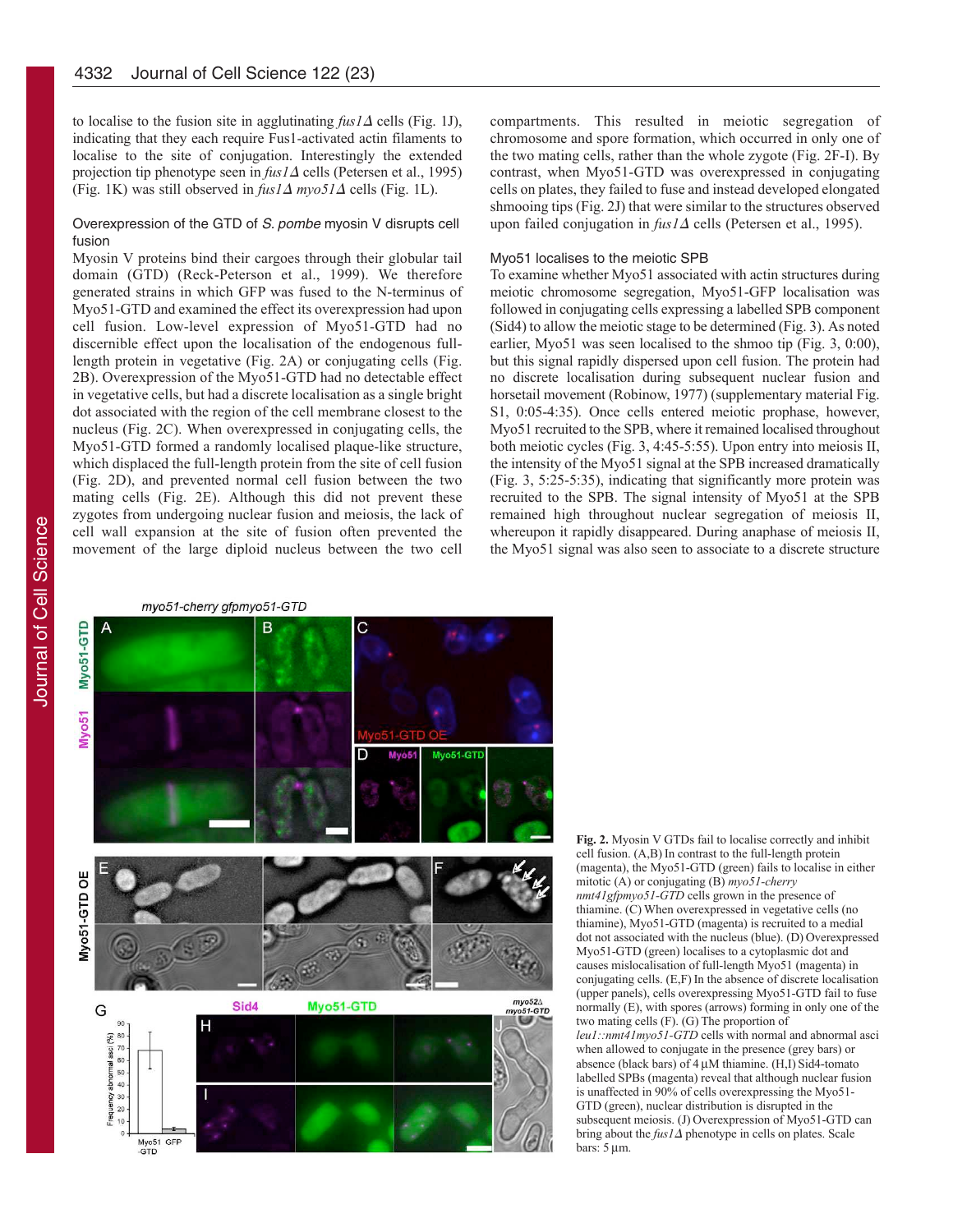to localise to the fusion site in agglutinating  $f\mu s/\Delta$  cells (Fig. 1J), indicating that they each require Fus1-activated actin filaments to localise to the site of conjugation. Interestingly the extended projection tip phenotype seen in *fus1*∆ cells (Petersen et al., 1995) (Fig. 1K) was still observed in  $fus/ \Delta m \nu o5/ \Delta$  cells (Fig. 1L).

#### Overexpression of the GTD of S. pombe myosin V disrupts cell fusion

Myosin V proteins bind their cargoes through their globular tail domain (GTD) (Reck-Peterson et al., 1999). We therefore generated strains in which GFP was fused to the N-terminus of Myo51-GTD and examined the effect its overexpression had upon cell fusion. Low-level expression of Myo51-GTD had no discernible effect upon the localisation of the endogenous fulllength protein in vegetative (Fig. 2A) or conjugating cells (Fig. 2B). Overexpression of the Myo51-GTD had no detectable effect in vegetative cells, but had a discrete localisation as a single bright dot associated with the region of the cell membrane closest to the nucleus (Fig. 2C). When overexpressed in conjugating cells, the Myo51-GTD formed a randomly localised plaque-like structure, which displaced the full-length protein from the site of cell fusion (Fig. 2D), and prevented normal cell fusion between the two mating cells (Fig. 2E). Although this did not prevent these zygotes from undergoing nuclear fusion and meiosis, the lack of cell wall expansion at the site of fusion often prevented the movement of the large diploid nucleus between the two cell

compartments. This resulted in meiotic segregation of chromosome and spore formation, which occurred in only one of the two mating cells, rather than the whole zygote (Fig. 2F-I). By contrast, when Myo51-GTD was overexpressed in conjugating cells on plates, they failed to fuse and instead developed elongated shmooing tips (Fig. 2J) that were similar to the structures observed upon failed conjugation in *fus1*∆ cells (Petersen et al., 1995).

#### Myo51 localises to the meiotic SPB

To examine whether Myo51 associated with actin structures during meiotic chromosome segregation, Myo51-GFP localisation was followed in conjugating cells expressing a labelled SPB component  $(Sid4)$  to allow the meiotic stage to be determined (Fig. 3). As noted earlier, Myo51 was seen localised to the shmoo tip (Fig. 3, 0:00), but this signal rapidly dispersed upon cell fusion. The protein had no discrete localisation during subsequent nuclear fusion and horsetail movement (Robinow, 1977) (supplementary material Fig. S1, 0:05-4:35). Once cells entered meiotic prophase, however, Myo51 recruited to the SPB, where it remained localised throughout both meiotic cycles (Fig. 3, 4:45-5:55). Upon entry into meiosis II, the intensity of the Myo51 signal at the SPB increased dramatically (Fig. 3, 5:25-5:35), indicating that significantly more protein was recruited to the SPB. The signal intensity of Myo51 at the SPB remained high throughout nuclear segregation of meiosis II, whereupon it rapidly disappeared. During anaphase of meiosis II, the Myo51 signal was also seen to associate to a discrete structure

Journal of Cell Science Journal of Cell Science





Fig. 2. Myosin V GTDs fail to localise correctly and inhibit cell fusion. (A,B) In contrast to the full-length protein (magenta), the Myo51-GTD (green) fails to localise in either mitotic (A) or conjugating (B)  $myo51$ -cherry *nmt41gfpmyo51-GTD* cells grown in the presence of thiamine. (C) When overexpressed in vegetative cells (no thiamine), Myo51-GTD (magenta) is recruited to a medial dot not associated with the nucleus (blue). (D) Overexpressed Myo51-GTD (green) localises to a cytoplasmic dot and causes mislocalisation of full-length Myo51 (magenta) in conjugating cells. (E,F) In the absence of discrete localisation (upper panels), cells overexpressing Myo51-GTD fail to fuse normally  $(E)$ , with spores (arrows) forming in only one of the two mating cells  $(F)$ .  $(G)$  The proportion of *leu1::nmt41myo51-GTD* cells with normal and abnormal asci when allowed to conjugate in the presence (grey bars) or absence (black bars) of  $4 \mu$ M thiamine. (H,I) Sid4-tomato labelled SPBs (magenta) reveal that although nuclear fusion is unaffected in 90% of cells overexpressing the Myo51-GTD (green), nuclear distribution is disrupted in the subsequent meiosis. (J) Overexpression of Myo51-GTD can  $\frac{1}{2}$  bring about the *fus1* ∆ phenotype in cells on plates. Scale  $bars: 5 \mu m$ .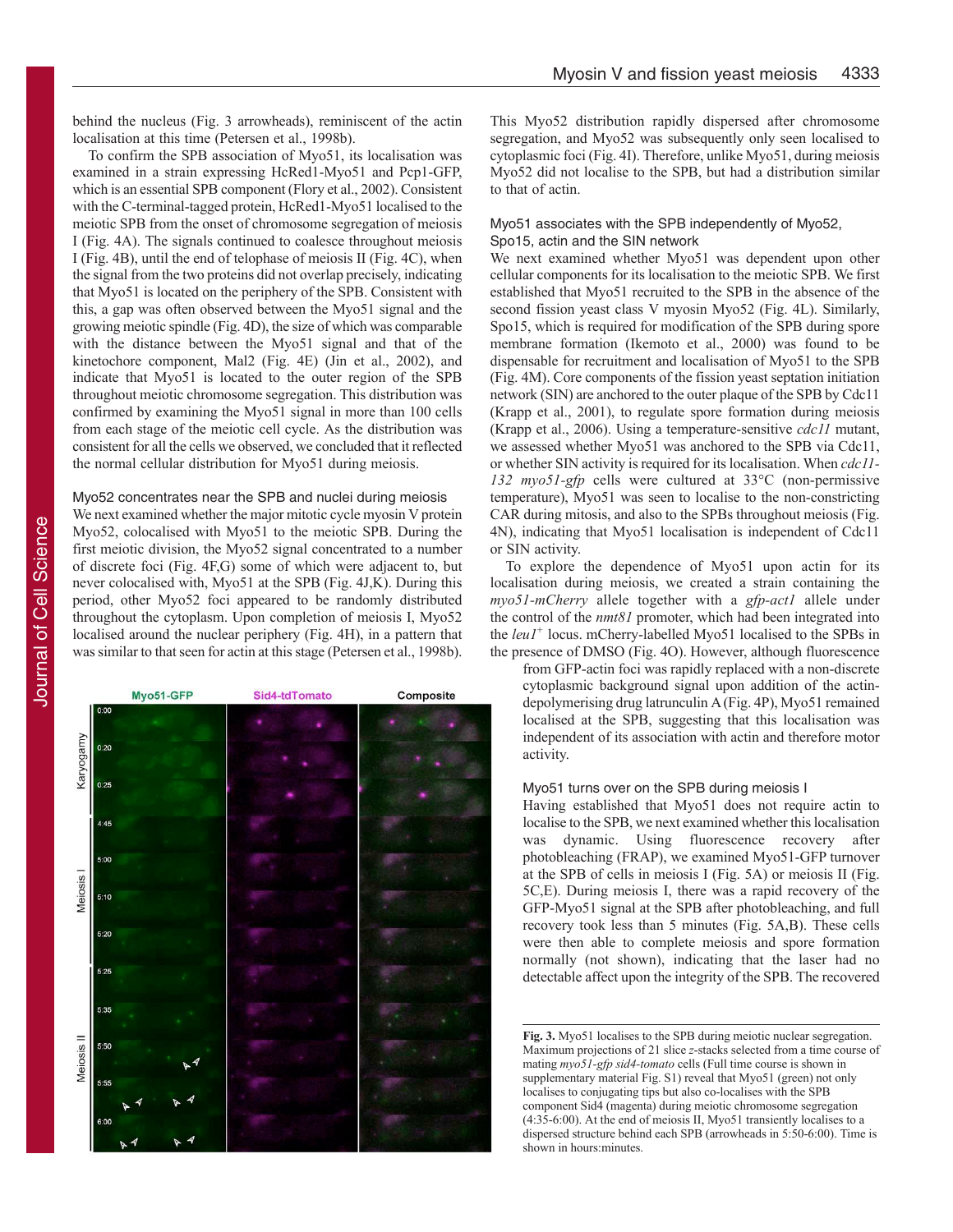behind the nucleus (Fig. 3 arrowheads), reminiscent of the actin localisation at this time (Petersen et al., 1998b).

To confirm the SPB association of Myo51, its localisation was examined in a strain expressing HcRed1-Myo51 and Pcp1-GFP, which is an essential SPB component (Flory et al., 2002). Consistent with the C-terminal-tagged protein, HcRed1-Myo51 localised to the meiotic SPB from the onset of chromosome segregation of meiosis Ι (Fig. 4A). The signals continued to coalesce throughout meiosis I (Fig. 4B), until the end of telophase of meiosis II (Fig. 4C), when the signal from the two proteins did not overlap precisely, indicating that Myo51 is located on the periphery of the SPB. Consistent with this, a gap was often observed between the Myo51 signal and the growing meiotic spindle (Fig. 4D), the size of which was comparable with the distance between the Myo51 signal and that of the kinetochore component, Mal2 (Fig. 4E) (Jin et al., 2002), and indicate that Myo51 is located to the outer region of the SPB throughout meiotic chromosome segregation. This distribution was confirmed by examining the Myo51 signal in more than 100 cells from each stage of the meiotic cell cycle. As the distribution was consistent for all the cells we observed, we concluded that it reflected the normal cellular distribution for Myo51 during meiosis.

#### Myo52 concentrates near the SPB and nuclei during meiosis

We next examined whether the major mitotic cycle myosin V protein Myo52, colocalised with Myo51 to the meiotic SPB. During the first meiotic division, the Myo52 signal concentrated to a number of discrete foci (Fig. 4F,G) some of which were adjacent to, but never colocalised with, Myo51 at the SPB (Fig. 4J,K). During this period, other Myo52 foci appeared to be randomly distributed throughout the cytoplasm. Upon completion of meiosis I, Myo52 localised around the nuclear periphery (Fig. 4H), in a pattern that was similar to that seen for actin at this stage (Petersen et al., 1998b).



This Myo52 distribution rapidly dispersed after chromosome segregation, and Myo52 was subsequently only seen localised to cytoplasmic foci (Fig. 4I). Therefore, unlike Myo51, during meiosis Myo52 did not localise to the SPB, but had a distribution similar to that of actin.

#### Myo51 associates with the SPB independently of Myo52, Spo15, actin and the SIN network

We next examined whether Myo51 was dependent upon other cellular components for its localisation to the meiotic SPB. We first established that Myo51 recruited to the SPB in the absence of the second fission yeast class V myosin Myo52 (Fig. 4L). Similarly, Spo15, which is required for modification of the SPB during spore membrane formation (Ikemoto et al., 2000) was found to be dispensable for recruitment and localisation of Myo51 to the SPB (Fig. 4M). Core components of the fission yeast septation initiation network (SIN) are anchored to the outer plaque of the SPB by Cdc11 (Krapp et al., 2001), to regulate spore formation during meiosis  $(Krapp et al., 2006)$ . Using a temperature-sensitive *cdc11* mutant, we assessed whether Myo51 was anchored to the SPB via Cdc11, or whether SIN activity is required for its localisation. When *cdc11f 6B: <i>hyo51-gfp* cells were cultured at 33<sup>o</sup>C (non-permissive temperature), Myo51 was seen to localise to the non-constricting CAR during mitosis, and also to the SPBs throughout meiosis (Fig. 4N), indicating that Myo51 localisation is independent of Cdc11 or SIN activity.

To explore the dependence of Myo51 upon actin for its localisation during meiosis, we created a strain containing the *myo51-mCherry* allele together with a *gfp-act1* allele under the control of the *nmt81* promoter, which had been integrated into the leu1<sup>+</sup> locus. mCherry-labelled Myo51 localised to the SPBs in the presence of DMSO (Fig. 4O). However, although fluorescence

from GFP-actin foci was rapidly replaced with a non-discrete cytoplasmic background signal upon addition of the actindepolymerising drug latrunculin A (Fig. 4P), Myo51 remained localised at the SPB, suggesting that this localisation was independent of its association with actin and therefore motor activity.

#### Myo51 turns over on the SPB during meiosis I

Having established that Myo51 does not require actin to localise to the SPB, we next examined whether this localisation was dynamic. Using fluorescence recovery after photobleaching (FRAP), we examined Myo51-GFP turnover at the SPB of cells in meiosis I (Fig. 5A) or meiosis II (Fig. 5C,E). During meiosis I, there was a rapid recovery of the GFP-Myo51 signal at the SPB after photobleaching, and full recovery took less than 5 minutes (Fig. 5A,B). These cells were then able to complete meiosis and spore formation normally (not shown), indicating that the laser had no detectable affect upon the integrity of the SPB. The recovered

**Fig. 3.** Myo51 localises to the SPB during meiotic nuclear segregation. Maximum projections of 21 slice z-stacks selected from a time course of mating  $mv$ <sub>2</sub>51<sup>*-*</sup>*sid4-tomato* cells (Full time course is shown in supplementary material Fig. S1) reveal that Myo51 (green) not only localises to conjugating tips but also co-localises with the SPB component Sid4 (magenta) during meiotic chromosome segregation (4:35-6:00). At the end of meiosis II, Myo51 transiently localises to a dispersed structure behind each SPB (arrowheads in 5:50-6:00). Time is shown in hours: minutes.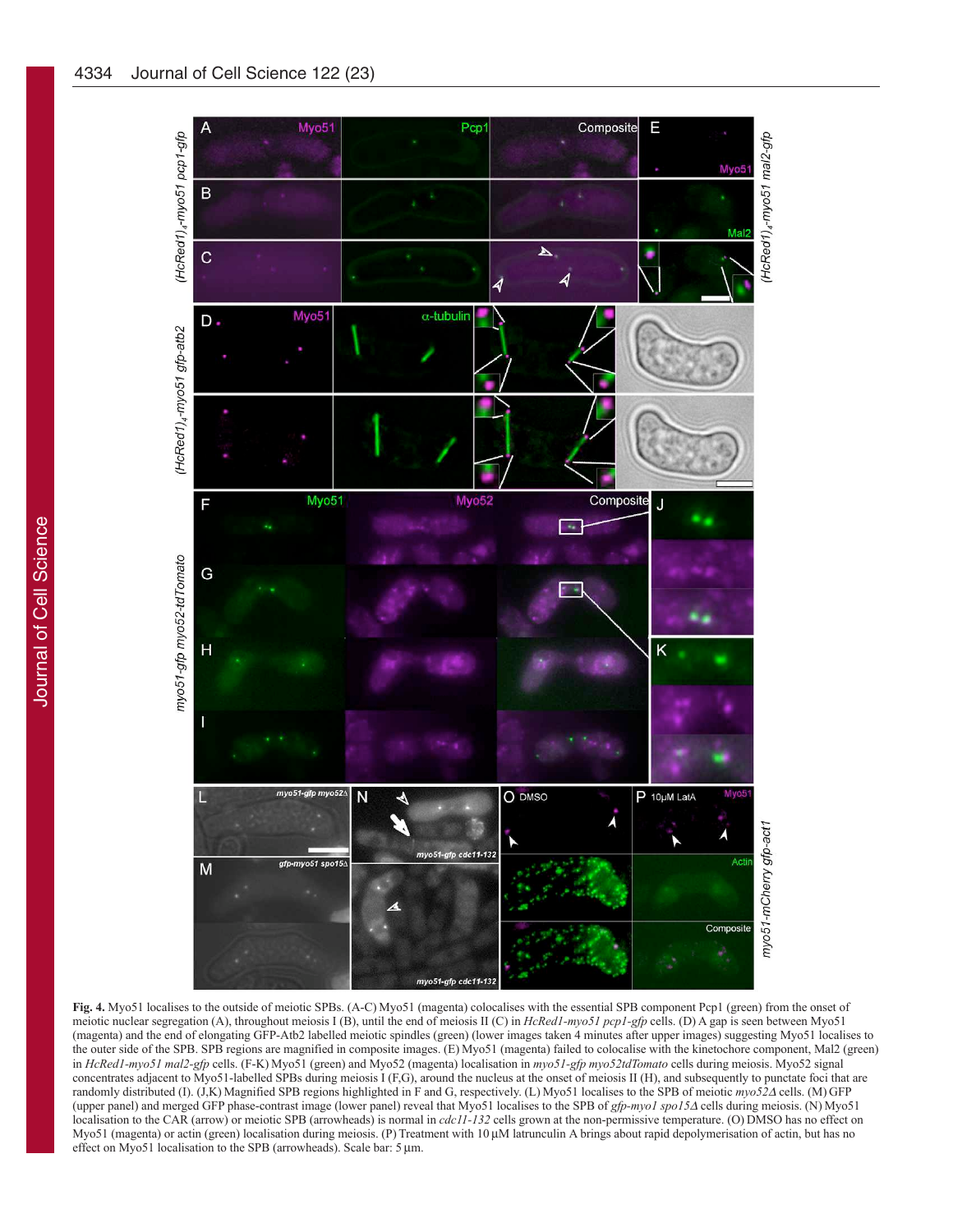

**Fig. 4.** Myo51 localises to the outside of meiotic SPBs. (A-C) Myo51 (magenta) colocalises with the essential SPB component Pcp1 (green) from the onset of meiotic nuclear segregation (A), throughout meiosis I (B), until the end of meiosis II (C) in *HcRed1-myo51 pcp1-gfp* cells. (D) A gap is seen between Myo51 (magenta) and the end of elongating GFP-Atb2 labelled meiotic spindles (green) (lower images taken 4 minutes after upper images) suggesting Myo51 localises to the outer side of the SPB. SPB regions are magnified in composite images. (E) Myo51 (magenta) failed to colocalise with the kinetochore component, Mal2 (green) in *HcRed1-myo51 mal2-gfp* cells. (F-K) Myo51 (green) and Myo52 (magenta) localisation in myo51-gfp myo52tdTomato cells during meiosis. Myo52 signal concentrates adjacent to Myo51-labelled SPBs during meiosis I (F,G), around the nucleus at the onset of meiosis II (H), and subsequently to punctate foci that are randomly distributed (I). (J,K) Magnified SPB regions highlighted in F and G, respectively. (L) Myo51 localises to the SPB of meiotic myo52Δ cells. (M) GFP (upper panel) and merged GFP phase-contrast image (lower panel) reveal that Myo51 localises to the SPB of gfp-myo1 spo15Δ cells during meiosis. (N) Myo51 localisation to the CAR (arrow) or meiotic SPB (arrowheads) is normal in cdc11-132 cells grown at the non-permissive temperature. (O) DMSO has no effect on  $My$ <sub>051</sub> (magenta) or actin (green) localisation during meiosis. (P) Treatment with 10 μM latrunculin A brings about rapid depolymerisation of actin, but has no effect on Myo51 localisation to the SPB (arrowheads). Scale bar: 5 μm.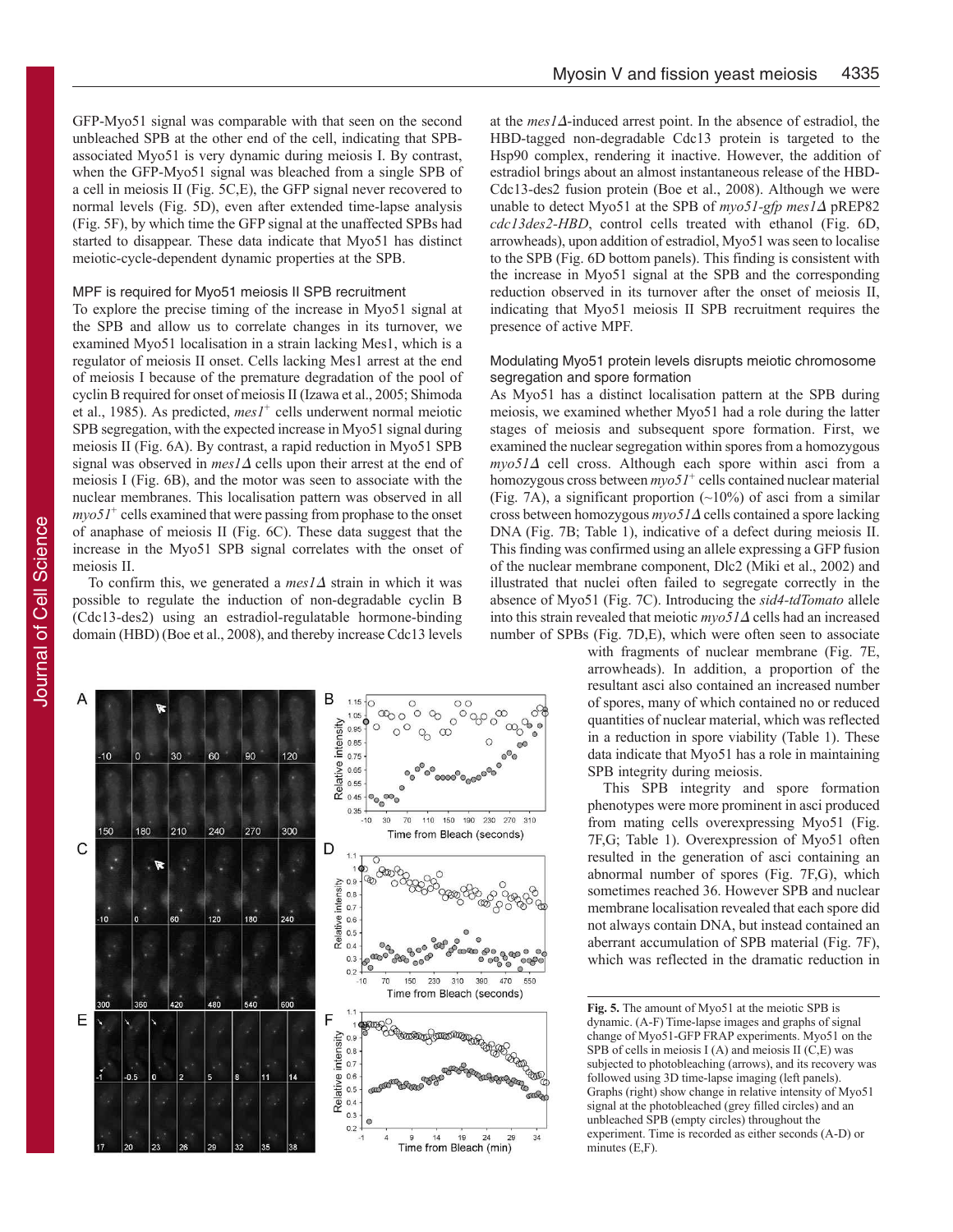GFP-Myo51 signal was comparable with that seen on the second unbleached SPB at the other end of the cell, indicating that SPBassociated Myo51 is very dynamic during meiosis I. By contrast, when the GFP-Myo51 signal was bleached from a single SPB of a cell in meiosis II (Fig. 5C,E), the GFP signal never recovered to normal levels (Fig. 5D), even after extended time-lapse analysis (Fig. 5F), by which time the GFP signal at the unaffected SPBs had started to disappear. These data indicate that Myo51 has distinct meiotic-cycle-dependent dynamic properties at the SPB.

#### MPF is required for Myo51 meiosis II SPB recruitment

To explore the precise timing of the increase in Myo51 signal at the SPB and allow us to correlate changes in its turnover, we examined Myo51 localisation in a strain lacking Mes1, which is a regulator of meiosis II onset. Cells lacking Mes1 arrest at the end of meiosis I because of the premature degradation of the pool of cyclin B required for onset of meiosis II (Izawa et al., 2005; Shimoda et al., 1985). As predicted, mes1<sup>+</sup> cells underwent normal meiotic SPB segregation, with the expected increase in Myo51 signal during meiosis II (Fig. 6A). By contrast, a rapid reduction in Myo51 SPB signal was observed in *mes1*∆ cells upon their arrest at the end of meiosis I (Fig. 6B), and the motor was seen to associate with the nuclear membranes. This localisation pattern was observed in all *myo51*<sup>+</sup> cells examined that were passing from prophase to the onset of anaphase of meiosis II (Fig. 6C). These data suggest that the increase in the Myo51 SPB signal correlates with the onset of meiosis II.

To confirm this, we generated a *mes1*∆ strain in which it was possible to regulate the induction of non-degradable cyclin B (Cdc13-des2) using an estradiol-regulatable hormone-binding domain (HBD) (Boe et al., 2008), and thereby increase Cdc13 levels



at the mes1∆-induced arrest point. In the absence of estradiol, the HBD-tagged non-degradable Cdc13 protein is targeted to the Hsp90 complex, rendering it inactive. However, the addition of estradiol brings about an almost instantaneous release of the HBD-Cdc13-des2 fusion protein (Boe et al., 2008). Although we were unable to detect Myo51 at the SPB of myo51-gfp mes1Δ pREP82 *cdc13des2-HBD*, control cells treated with ethanol (Fig. 6D, arrowheads), upon addition of estradiol, Myo51 was seen to localise to the SPB (Fig. 6D bottom panels). This finding is consistent with the increase in Myo51 signal at the SPB and the corresponding reduction observed in its turnover after the onset of meiosis II, indicating that Myo51 meiosis II SPB recruitment requires the presence of active MPF.

#### Modulating Myo51 protein levels disrupts meiotic chromosome segregation and spore formation

As Myo51 has a distinct localisation pattern at the SPB during meiosis, we examined whether Myo51 had a role during the latter stages of meiosis and subsequent spore formation. First, we examined the nuclear segregation within spores from a homozygous *myo51*∆ cell cross. Although each spore within asci from a homozygous cross between  $myo51^+$  cells contained nuclear material (Fig. 7A), a significant proportion  $(\sim 10\%)$  of asci from a similar cross between homozygous *myo51*∆ cells contained a spore lacking DNA (Fig. 7B; Table 1), indicative of a defect during meiosis II. This finding was confirmed using an allele expressing a GFP fusion of the nuclear membrane component, Dlc2 (Miki et al., 2002) and illustrated that nuclei often failed to segregate correctly in the absence of Myo51 (Fig. 7C). Introducing the  $sid4$ -tdTomato allele into this strain revealed that meiotic *myo51*∆ cells had an increased number of SPBs (Fig. 7D,E), which were often seen to associate

with fragments of nuclear membrane (Fig. 7E, arrowheads). In addition, a proportion of the resultant asci also contained an increased number of spores, many of which contained no or reduced quantities of nuclear material, which was reflected in a reduction in spore viability (Table 1). These data indicate that Myo51 has a role in maintaining SPB integrity during meiosis.

This SPB integrity and spore formation phenotypes were more prominent in asci produced from mating cells overexpressing Myo51 (Fig. 7F, G; Table 1). Overexpression of Myo51 often resulted in the generation of asci containing an abnormal number of spores (Fig. 7F,G), which sometimes reached 36. However SPB and nuclear membrane localisation revealed that each spore did not always contain DNA, but instead contained an aberrant accumulation of SPB material (Fig. 7F), which was reflected in the dramatic reduction in

**Fig. 5.** The amount of Myo51 at the meiotic SPB is dynamic. (A-F) Time-lapse images and graphs of signal  $h$ <sub>31</sub> change of Myo51-GFP FRAP experiments. Myo51 on the SPB of cells in meiosis  $I(A)$  and meiosis  $II(C,E)$  was subjected to photobleaching (arrows), and its recovery was followed using 3D time-lapse imaging (left panels). Graphs (right) show change in relative intensity of Myo51 signal at the photobleached (grey filled circles) and an unbleached SPB (empty circles) throughout the experiment. Time is recorded as either seconds (A-D) or  $minutes(E,F)$ .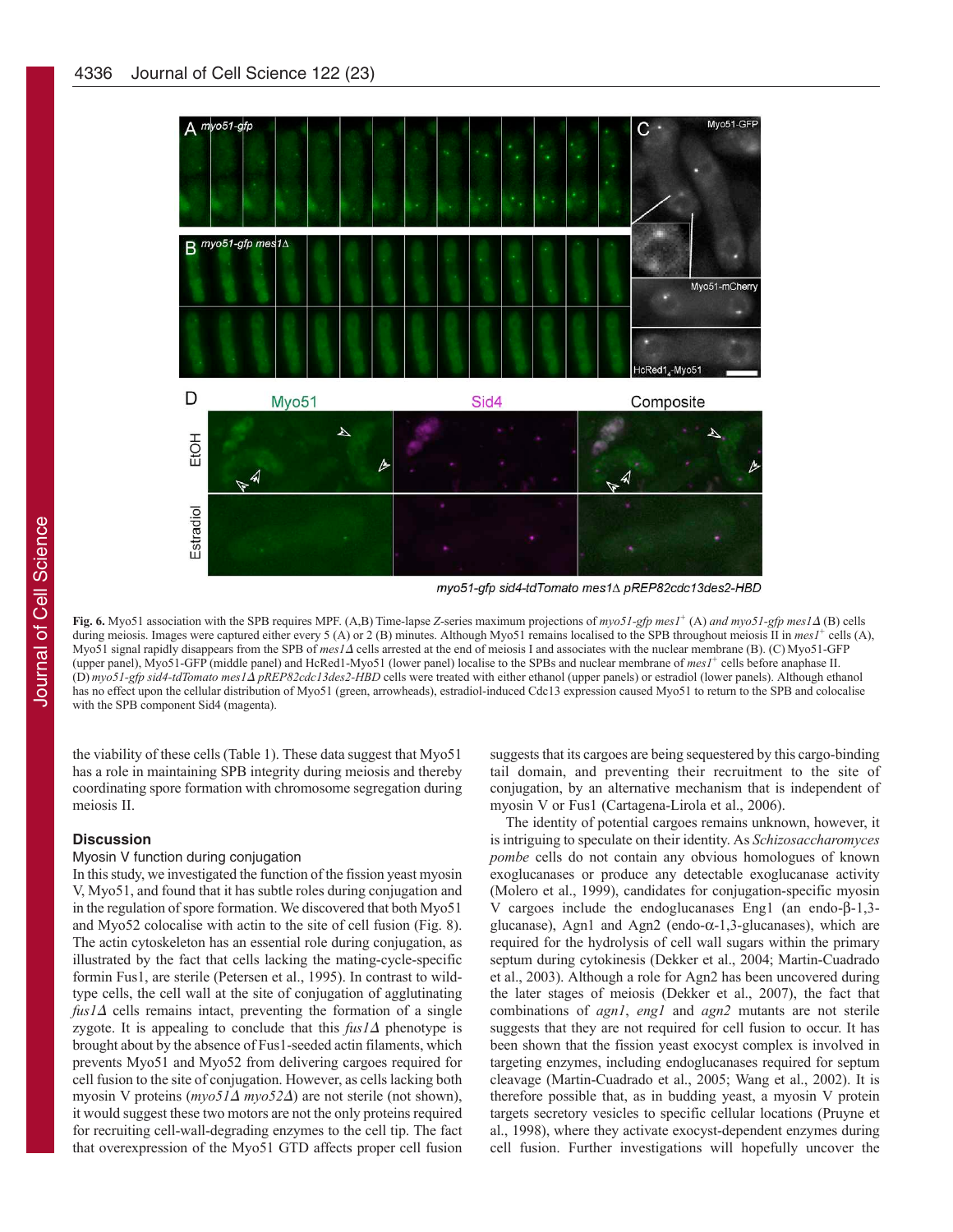

myo51-gfp sid4-tdTomato mes1∆ pREP82cdc13des2-HBD

**Fig. 6.** Myo51 association with the SPB requires MPF. (A,B) Time-lapse Z-series maximum projections of myo51-gfp mes1<sup>+</sup> (A) and myo51-gfp mes1Δ (B) cells during meiosis. Images were captured either every 5 (A) or 2 (B) minutes. Although Myo51 remains localised to the SPB throughout meiosis II in mes1<sup>+</sup> cells (A),  $My$ <sub>0</sub>51 signal rapidly disappears from the SPB of mes/ $\Delta$  cells arrested at the end of meiosis I and associates with the nuclear membrane (B). (C) Myo51-GFP (upper panel), Myo51-GFP (middle panel) and HcRed1-Myo51 (lower panel) localise to the SPBs and nuclear membrane of mes1<sup>+</sup> cells before anaphase II. **(D)**  $myo51-gfp$  sid4-tdTomato  $mes1Δ$   $p$ REP82cdc13des2-HBD cells were treated with either ethanol (upper panels) or estradiol (lower panels). Although ethanol has no effect upon the cellular distribution of Myo51 (green, arrowheads), estradiol-induced Cdc13 expression caused Myo51 to return to the SPB and colocalise with the SPB component Sid4 (magenta).

the viability of these cells (Table 1). These data suggest that Myo51 has a role in maintaining SPB integrity during meiosis and thereby coordinating spore formation with chromosome segregation during meiosis II.

#### **Discussion**

#### Myosin V function during conjugation

In this study, we investigated the function of the fission yeast myosin V, Myo51, and found that it has subtle roles during conjugation and in the regulation of spore formation. We discovered that both Myo51 and Myo52 colocalise with actin to the site of cell fusion (Fig. 8). The actin cytoskeleton has an essential role during conjugation, as illustrated by the fact that cells lacking the mating-cycle-specific formin Fus1, are sterile (Petersen et al., 1995). In contrast to wildtype cells, the cell wall at the site of conjugation of agglutinating  $f \mu s / \Delta$  cells remains intact, preventing the formation of a single zygote. It is appealing to conclude that this *fus1*∆ phenotype is brought about by the absence of Fus1-seeded actin filaments, which prevents Myo51 and Myo52 from delivering cargoes required for cell fusion to the site of conjugation. However, as cells lacking both myosin V proteins (*myo51*Δ *myo52*Δ) are not sterile (not shown), it would suggest these two motors are not the only proteins required for recruiting cell-wall-degrading enzymes to the cell tip. The fact that overexpression of the Myo51 GTD affects proper cell fusion

suggests that its cargoes are being sequestered by this cargo-binding tail domain, and preventing their recruitment to the site of conjugation, by an alternative mechanism that is independent of myosin V or Fus1 (Cartagena-Lirola et al., 2006).

The identity of potential cargoes remains unknown, however, it is intriguing to speculate on their identity. As *Schizosaccharomyces pombe* cells do not contain any obvious homologues of known exoglucanases or produce any detectable exoglucanase activity (Molero et al., 1999), candidates for conjugation-specific myosin V cargoes include the endoglucanases Eng1 (an endo-β-1,3glucanase), Agn1 and Agn2 (endo-α-1,3-glucanases), which are required for the hydrolysis of cell wall sugars within the primary septum during cytokinesis (Dekker et al., 2004; Martin-Cuadrado et al., 2003). Although a role for Agn2 has been uncovered during the later stages of meiosis (Dekker et al., 2007), the fact that combinations of *agn1*, eng*l* and *agn2* mutants are not sterile suggests that they are not required for cell fusion to occur. It has been shown that the fission yeast exocyst complex is involved in targeting enzymes, including endoglucanases required for septum cleavage (Martin-Cuadrado et al., 2005; Wang et al., 2002). It is therefore possible that, as in budding yeast, a myosin V protein targets secretory vesicles to specific cellular locations (Pruyne et al., 1998), where they activate exocyst-dependent enzymes during cell fusion. Further investigations will hopefully uncover the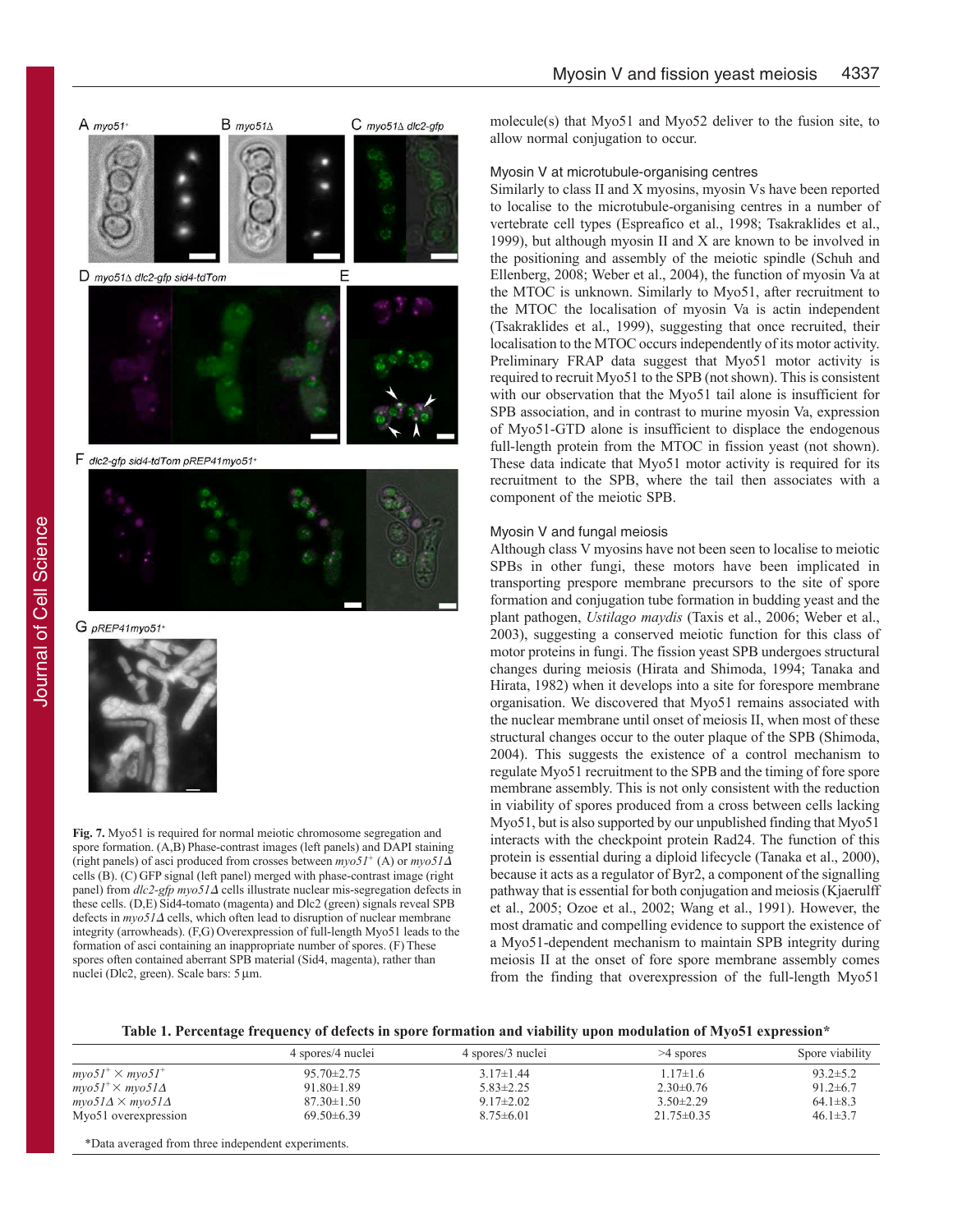



G pREP41myo51



Fig. 7. Myo51 is required for normal meiotic chromosome segregation and spore formation. (A,B) Phase-contrast images (left panels) and DAPI staining (right panels) of asci produced from crosses between  $myo5I^+$  (A) or  $myo5I\Delta$ cells (B). (C) GFP signal (left panel) merged with phase-contrast image (right panel) from *dlc2-gfp myo51*Δ cells illustrate nuclear mis-segregation defects in these cells. (D,E) Sid4-tomato (magenta) and Dlc2 (green) signals reveal SPB  $\text{defects in } \frac{mv}{5}I\Delta \text{ cells}$ , which often lead to disruption of nuclear membrane integrity (arrowheads). (F,G) Overexpression of full-length Myo51 leads to the formation of asci containing an inappropriate number of spores. (F) These spores often contained aberrant SPB material (Sid4, magenta), rather than nuclei (Dlc2, green). Scale bars: 5 μm.

molecule(s) that Myo51 and Myo52 deliver to the fusion site, to allow normal conjugation to occur.

#### Myosin V at microtubule-organising centres

Similarly to class II and X myosins, myosin Vs have been reported to localise to the microtubule-organising centres in a number of vertebrate cell types (Espreafico et al., 1998; Tsakraklides et al., 1999), but although myosin II and X are known to be involved in the positioning and assembly of the meiotic spindle (Schuh and Ellenberg, 2008; Weber et al., 2004), the function of myosin Va at the MTOC is unknown. Similarly to Myo51, after recruitment to the MTOC the localisation of myosin Va is actin independent (Tsakraklides et al., 1999), suggesting that once recruited, their localisation to the MTOC occurs independently of its motor activity. Preliminary FRAP data suggest that Myo51 motor activity is required to recruit Myo51 to the SPB (not shown). This is consistent with our observation that the Myo51 tail alone is insufficient for SPB association, and in contrast to murine myosin Va, expression of Myo51-GTD alone is insufficient to displace the endogenous full-length protein from the MTOC in fission yeast (not shown). These data indicate that Myo51 motor activity is required for its recruitment to the SPB, where the tail then associates with a component of the meiotic SPB.

#### Myosin V and fungal meiosis

Although class V myosins have not been seen to localise to meiotic SPBs in other fungi, these motors have been implicated in transporting prespore membrane precursors to the site of spore formation and conjugation tube formation in budding yeast and the plant pathogen, *Ustilago maydis* (Taxis et al., 2006; Weber et al., 2003), suggesting a conserved meiotic function for this class of motor proteins in fungi. The fission yeast SPB undergoes structural changes during meiosis (Hirata and Shimoda, 1994; Tanaka and Hirata, 1982) when it develops into a site for forespore membrane organisation. We discovered that Myo51 remains associated with the nuclear membrane until onset of meiosis II, when most of these structural changes occur to the outer plaque of the SPB (Shimoda, 2004). This suggests the existence of a control mechanism to regulate Myo51 recruitment to the SPB and the timing of fore spore membrane assembly. This is not only consistent with the reduction in viability of spores produced from a cross between cells lacking Myo51, but is also supported by our unpublished finding that Myo51 interacts with the checkpoint protein Rad24. The function of this protein is essential during a diploid lifecycle (Tanaka et al., 2000), because it acts as a regulator of Byr2, a component of the signalling pathway that is essential for both conjugation and meiosis (Kjaerulff et al., 2005; Ozoe et al., 2002; Wang et al., 1991). However, the most dramatic and compelling evidence to support the existence of a Myo51-dependent mechanism to maintain SPB integrity during meiosis II at the onset of fore spore membrane assembly comes from the finding that overexpression of the full-length Myo51

Table 1. Percentage frequency of defects in spore formation and viability upon modulation of Myo51 expression<sup>\*</sup>

|                                              | 4 spores/4 nuclei | 4 spores/3 nuclei | >4 spores        | Spore viability |
|----------------------------------------------|-------------------|-------------------|------------------|-----------------|
| $m\gamma o51^{+} \times m\gamma o51^{+}$     | 95.70±2.75        | $3.17\pm1.44$     | $1.17 \pm 1.6$   | $93.2 \pm 5.2$  |
| $mvo51^{+}\times mvo51\Delta$                | $91.80 \pm 1.89$  | $5.83 \pm 2.25$   | $2.30\pm0.76$    | $91.2 \pm 6.7$  |
| $m\gamma o51\Delta \times m\gamma o51\Delta$ | $87.30 \pm 1.50$  | $9.17 \pm 2.02$   | $3.50 \pm 2.29$  | $64.1 \pm 8.3$  |
| Myo51 overexpression                         | $69.50\pm6.39$    | $8.75 \pm 6.01$   | $21.75 \pm 0.35$ | $46.1 \pm 3.7$  |
|                                              |                   |                   |                  |                 |

\*Data averaged from three independent experiments.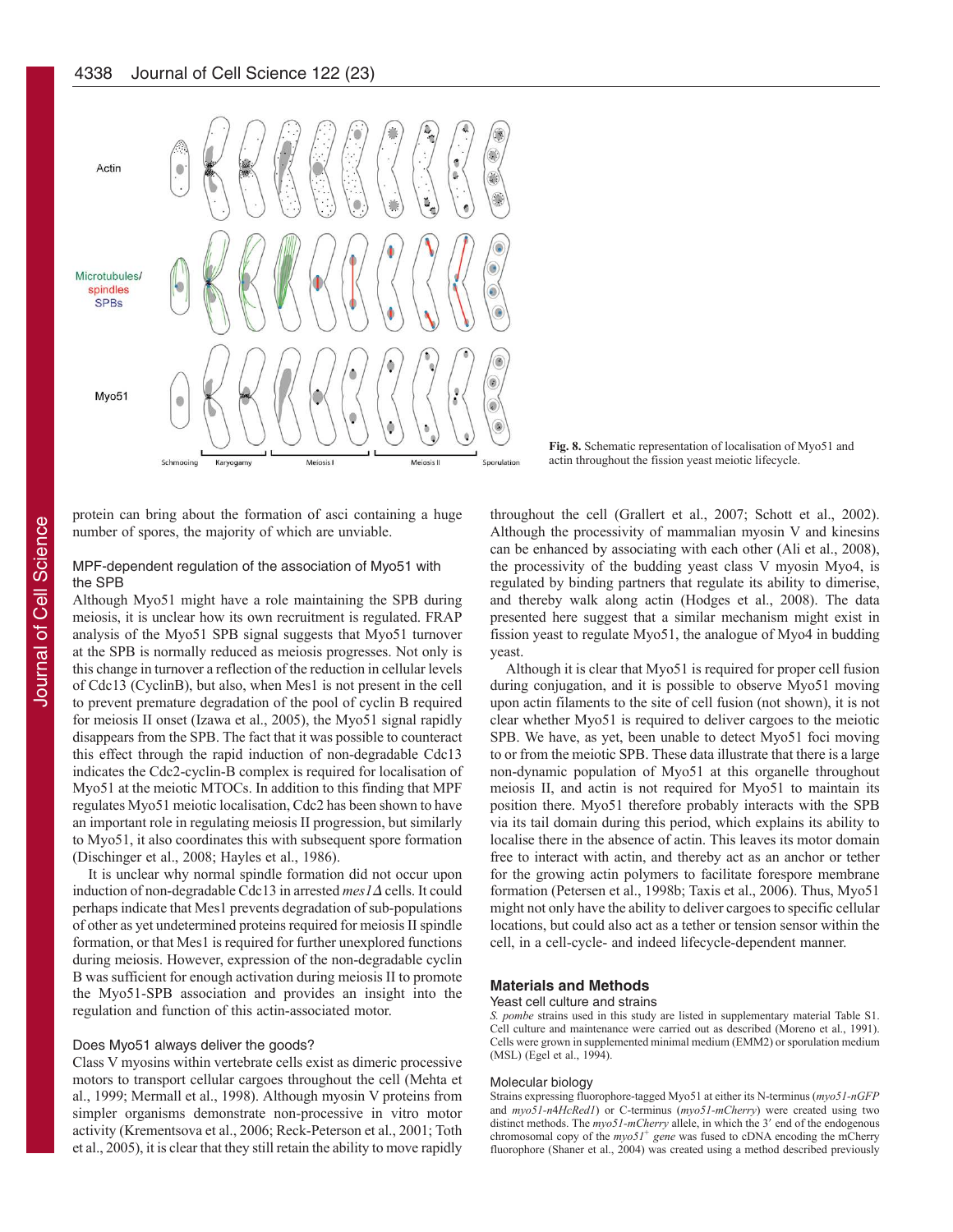

Fig. 8. Schematic representation of localisation of Myo51 and actin throughout the fission yeast meiotic lifecycle.

protein can bring about the formation of asci containing a huge number of spores, the majority of which are unviable.

#### MPF-dependent regulation of the association of Myo51 with the SPB

Although Myo51 might have a role maintaining the SPB during meiosis, it is unclear how its own recruitment is regulated. FRAP analysis of the Myo51 SPB signal suggests that Myo51 turnover at the SPB is normally reduced as meiosis progresses. Not only is this change in turnover a reflection of the reduction in cellular levels of Cdc13 (CyclinB), but also, when Mes1 is not present in the cell to prevent premature degradation of the pool of cyclin B required for meiosis II onset (Izawa et al., 2005), the Myo51 signal rapidly disappears from the SPB. The fact that it was possible to counteract this effect through the rapid induction of non-degradable Cdc13 indicates the Cdc2-cyclin-B complex is required for localisation of Myo51 at the meiotic MTOCs. In addition to this finding that MPF regulates Myo51 meiotic localisation, Cdc2 has been shown to have an important role in regulating meiosis II progression, but similarly to Myo51, it also coordinates this with subsequent spore formation (Dischinger et al., 2008; Hayles et al., 1986).

It is unclear why normal spindle formation did not occur upon induction of non-degradable Cdc13 in arrested mes1∆ cells. It could perhaps indicate that Mes1 prevents degradation of sub-populations of other as yet undetermined proteins required for meiosis II spindle formation, or that Mes1 is required for further unexplored functions during meiosis. However, expression of the non-degradable cyclin B was sufficient for enough activation during meiosis II to promote the Myo51-SPB association and provides an insight into the regulation and function of this actin-associated motor.

#### Does Myo51 always deliver the goods?

Class V myosins within vertebrate cells exist as dimeric processive motors to transport cellular cargoes throughout the cell (Mehta et al., 1999; Mermall et al., 1998). Although myosin V proteins from simpler organisms demonstrate non-processive in vitro motor activity (Krementsova et al., 2006; Reck-Peterson et al., 2001; Toth et al., 2005), it is clear that they still retain the ability to move rapidly throughout the cell (Grallert et al., 2007; Schott et al., 2002). Although the processivity of mammalian myosin V and kinesins can be enhanced by associating with each other (Ali et al., 2008), the processivity of the budding yeast class V myosin Myo4, is regulated by binding partners that regulate its ability to dimerise, and thereby walk along actin (Hodges et al., 2008). The data presented here suggest that a similar mechanism might exist in fission yeast to regulate Myo51, the analogue of Myo4 in budding yeast.

Although it is clear that Myo51 is required for proper cell fusion during conjugation, and it is possible to observe Myo51 moving upon actin filaments to the site of cell fusion (not shown), it is not clear whether Myo51 is required to deliver cargoes to the meiotic SPB. We have, as yet, been unable to detect Myo51 foci moving to or from the meiotic SPB. These data illustrate that there is a large non-dynamic population of Myo51 at this organelle throughout meiosis II, and actin is not required for Myo51 to maintain its position there. Myo51 therefore probably interacts with the SPB via its tail domain during this period, which explains its ability to localise there in the absence of actin. This leaves its motor domain free to interact with actin, and thereby act as an anchor or tether for the growing actin polymers to facilitate forespore membrane formation (Petersen et al., 1998b; Taxis et al., 2006). Thus, Myo51 might not only have the ability to deliver cargoes to specific cellular locations, but could also act as a tether or tension sensor within the cell, in a cell-cycle- and indeed lifecycle-dependent manner.

#### **Materials and Methods**

#### Yeast cell culture and strains

*S. pombe* strains used in this study are listed in supplementary material Table S1. Cell culture and maintenance were carried out as described (Moreno et al., 1991). Cells were grown in supplemented minimal medium (EMM2) or sporulation medium (MSL) (Egel et al., 1994).

#### Molecular biology

Strains expressing fluorophore-tagged Myo51 at either its N-terminus (myo51-nGFP and  $myo51-n4HcRedI$ ) or C-terminus ( $myo51-mCherry$ ) were created using two distinct methods. The  $myo51$ *-mCherry* allele, in which the 3' end of the endogenous chromosomal copy of the *myo51<sup>+</sup>* gene was fused to cDNA encoding the mCherry fluorophore (Shaner et al., 2004) was created using a method described previously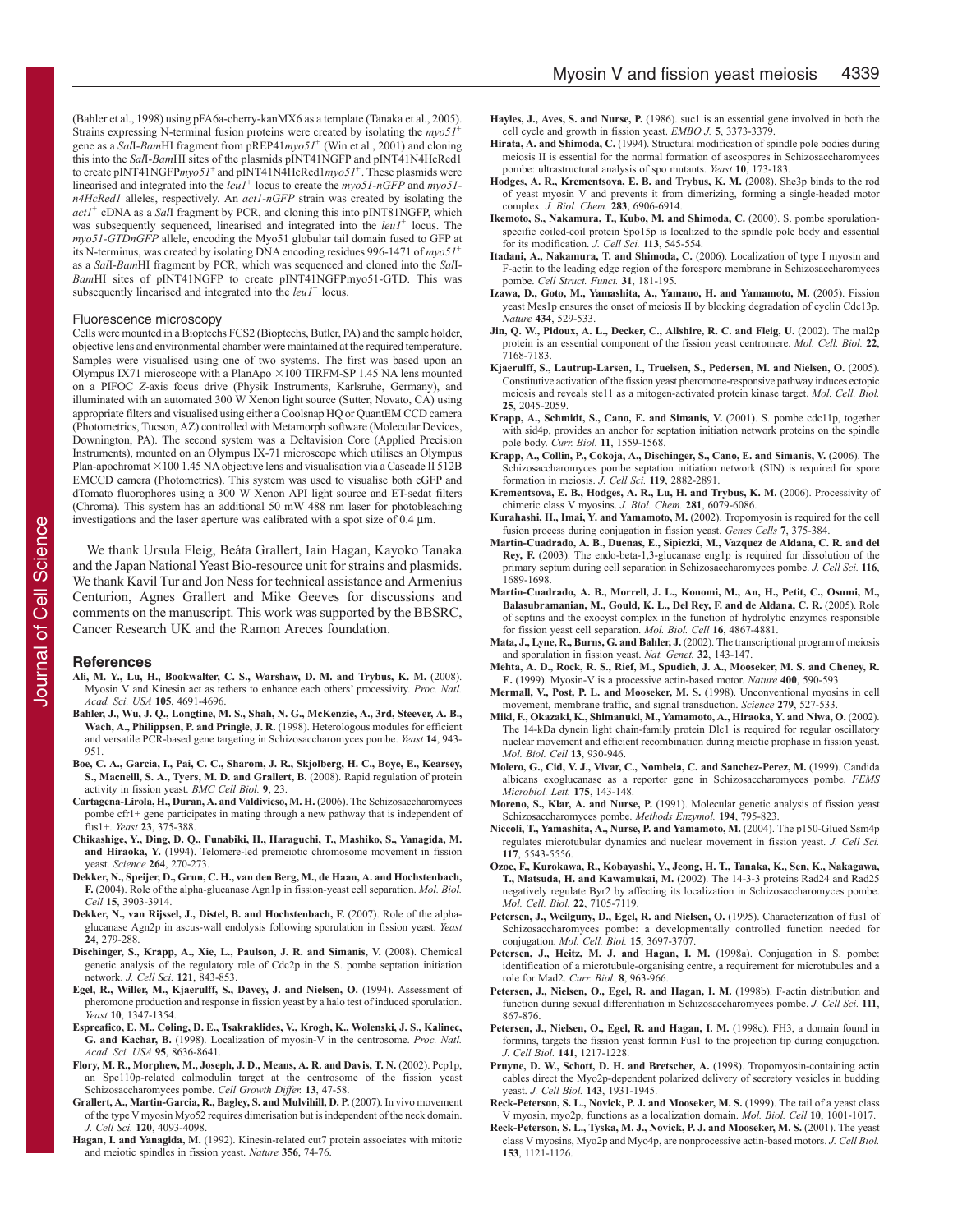(Bahler et al., 1998) using pFA6a-cherry-kanMX6 as a template (Tanaka et al., 2005). Strains expressing N-terminal fusion proteins were created by isolating the  $mv_0 51$ <sup>+</sup> gene as a Sall-BamHI fragment from pREP41myo51<sup>+</sup> (Win et al., 2001) and cloning this into the Sall-BamHI sites of the plasmids pINT41NGFP and pINT41N4HcRed1 to create pINT41NGFP $myo5I^+$  and pINT41N4HcRed1 $myo5I^+$ . These plasmids were linearised and integrated into the  $leu1$ <sup>+</sup> locus to create the  $mvo51\n-nGFP$  and  $mvo51$ *n4HcRed1* alleles, respectively. An *act1-nGFP* strain was created by isolating the act1<sup>+</sup> cDNA as a Sall fragment by PCR, and cloning this into pINT81NGFP, which was subsequently sequenced, linearised and integrated into the leul<sup>+</sup> locus. The myo51-GTDnGFP allele, encoding the Myo51 globular tail domain fused to GFP at its N-terminus, was created by isolating DNA encoding residues 996-1471 of  $mv_0 51^+$ as a Sall-BamHI fragment by PCR, which was sequenced and cloned into the Sall-BamHI sites of pINT41NGFP to create pINT41NGFPmyo51-GTD. This was subsequently linearised and integrated into the  $leu1$ <sup>+</sup> locus.

#### Fluorescence microscopy

Cells were mounted in a Bioptechs FCS2 (Bioptechs, Butler, PA) and the sample holder, objective lens and environmental chamber were maintained at the required temperature. Samples were visualised using one of two systems. The first was based upon an Olympus IX71 microscope with a PlanApo  $\times$  100 TIRFM-SP 1.45 NA lens mounted on a PIFOC Z-axis focus drive (Physik Instruments, Karlsruhe, Germany), and illuminated with an automated 300 W Xenon light source (Sutter, Novato, CA) using appropriate filters and visualised using either a Coolsnap HQ or QuantEM CCD camera (Photometrics, Tucson, AZ) controlled with Metamorph software (Molecular Devices, Downington, PA). The second system was a Deltavision Core (Applied Precision Instruments), mounted on an Olympus IX-71 microscope which utilises an Olympus Plan-apochromat  $\times$ 100 1.45 NA objective lens and visualisation via a Cascade II 512B EMCCD camera (Photometrics). This system was used to visualise both eGFP and dTomato fluorophores using a 300 W Xenon API light source and ET-sedat filters (Chroma). This system has an additional 50 mW 488 nm laser for photobleaching investigations and the laser aperture was calibrated with a spot size of 0.4 µm.

We thank Ursula Fleig, Beáta Grallert, Iain Hagan, Kayoko Tanaka and the Japan National Yeast Bio-resource unit for strains and plasmids. We thank Kavil Tur and Jon Ness for technical assistance and Armenius Centurion, Agnes Grallert and Mike Geeves for discussions and comments on the manuscript. This work was supported by the BBSRC, Cancer Research UK and the Ramon Areces foundation.

#### **References**

- Ali, M. Y., Lu, H., Bookwalter, C. S., Warshaw, D. M. and Trybus, K. M. (2008). Myosin V and Kinesin act as tethers to enhance each others' processivity. Proc. Natl. Acad. Sci. USA 105, 4691-4696.
- Bahler, J., Wu, J. Q., Longtine, M. S., Shah, N. G., McKenzie, A., 3rd, Steever, A. B., Wach, A., Philippsen, P. and Pringle, J. R. (1998). Heterologous modules for efficient and versatile PCR-based gene targeting in Schizosaccharomyces pombe. Yeast 14, 943-951
- Boe, C. A., Garcia, I., Pai, C. C., Sharom, J. R., Skjolberg, H. C., Boye, E., Kearsey, S., Macneill, S. A., Tyers, M. D. and Grallert, B. (2008). Rapid regulation of protein activity in fission yeast. BMC Cell Biol. 9, 23.
- Cartagena-Lirola, H., Duran, A. and Valdivieso, M. H. (2006). The Schizosaccharomyces pombe cfr1+ gene participates in mating through a new pathway that is independent of fus1+. Yeast 23, 375-388.
- Chikashige, Y., Ding, D. Q., Funabiki, H., Haraguchi, T., Mashiko, S., Yanagida, M. and Hiraoka, Y. (1994). Telomere-led premeiotic chromosome movement in fission veast. Science 264, 270-273.
- Dekker, N., Speijer, D., Grun, C. H., van den Berg, M., de Haan, A. and Hochstenbach, F. (2004). Role of the alpha-glucanase Agn1p in fission-yeast cell separation. Mol. Biol. Cell 15, 3903-3914.
- Dekker, N., van Rijssel, J., Distel, B. and Hochstenbach, F. (2007). Role of the alphaglucanase Agn2p in ascus-wall endolysis following sporulation in fission yeast. Yeast 24, 279-288.
- Dischinger, S., Krapp, A., Xie, L., Paulson, J. R. and Simanis, V. (2008). Chemical genetic analysis of the regulatory role of Cdc2p in the S. pombe septation initiation network. J. Cell Sci. 121, 843-853.
- Egel, R., Willer, M., Kjaerulff, S., Davey, J. and Nielsen, O. (1994). Assessment of pheromone production and response in fission yeast by a halo test of induced sporulation. Yeast 10, 1347-1354.
- Espreafico, E. M., Coling, D. E., Tsakraklides, V., Krogh, K., Wolenski, J. S., Kalinec, G. and Kachar, B. (1998). Localization of myosin-V in the centrosome. Proc. Natl. Acad. Sci. USA 95, 8636-8641.
- Flory, M. R., Morphew, M., Joseph, J. D., Means, A. R. and Davis, T. N. (2002). Pcp1p, an Spc110p-related calmodulin target at the centrosome of the fission yeast Schizosaccharomyces pombe. Cell Growth Differ. 13, 47-58.
- Grallert, A., Martin-Garcia, R., Bagley, S. and Mulvihill, D. P. (2007). In vivo movement of the type V myosin Myo52 requires dimerisation but is independent of the neck domain. J. Cell Sci. 120, 4093-4098.
- Hagan, I. and Yanagida, M. (1992). Kinesin-related cut7 protein associates with mitotic and meiotic spindles in fission yeast. Nature 356, 74-76.
- Hayles, J., Aves, S. and Nurse, P. (1986). such is an essential gene involved in both the cell cycle and growth in fission yeast. EMBO J. 5, 3373-3379.
- Hirata, A. and Shimoda, C. (1994). Structural modification of spindle pole bodies during meiosis II is essential for the normal formation of ascospores in Schizosaccharomyces pombe: ultrastructural analysis of spo mutants. Yeast 10, 173-183.
- Hodges, A. R., Krementsova, E. B. and Trybus, K. M. (2008). Shesp binds to the rod of yeast myosin V and prevents it from dimerizing, forming a single-headed motor complex. J. Biol. Chem. 283, 6906-6914.
- Ikemoto, S., Nakamura, T., Kubo, M. and Shimoda, C. (2000). S. pombe sporulationspecific coiled-coil protein Spo15p is localized to the spindle pole body and essential for its modification. J. Cell Sci. 113, 545-554.
- Itadani, A., Nakamura, T. and Shimoda, C. (2006). Localization of type I myosin and F-actin to the leading edge region of the forespore membrane in Schizosaccharomyces pombe. Cell Struct. Funct. 31, 181-195.
- Izawa, D., Goto, M., Yamashita, A., Yamano, H. and Yamamoto, M. (2005). Fission yeast Mes1p ensures the onset of meiosis II by blocking degradation of cyclin Cdc13p. Nature 434, 529-533.
- Jin, Q. W., Pidoux, A. L., Decker, C., Allshire, R. C. and Fleig, U. (2002). The mal2p protein is an essential component of the fission yeast centromere. Mol. Cell. Biol. 22, 7168-7183.
- Kjaerulff, S., Lautrup-Larsen, I., Truelsen, S., Pedersen, M. and Nielsen, O. (2005). Constitutive activation of the fission yeast pheromone-responsive pathway induces ectopic meiosis and reveals stell as a mitogen-activated protein kinase target. Mol. Cell. Biol. 25, 2045-2059.
- Krapp, A., Schmidt, S., Cano, E. and Simanis, V. (2001). S. pombe cdc11p, together with sid4p, provides an anchor for septation initiation network proteins on the spindle pole body. Curr. Biol. 11, 1559-1568.
- Krapp, A., Collin, P., Cokoja, A., Dischinger, S., Cano, E. and Simanis, V. (2006). The Schizosaccharomyces pombe septation initiation network (SIN) is required for spore formation in meiosis. J. Cell Sci. 119, 2882-2891.
- Krementsova, E. B., Hodges, A. R., Lu, H. and Trybus, K. M. (2006). Processivity of chimeric class V myosins. J. Biol. Chem. 281, 6079-6086.
- Kurahashi, H., Imai, Y. and Yamamoto, M. (2002). Tropomyosin is required for the cell fusion process during conjugation in fission yeast. Genes Cells 7, 375-384.
- Martin-Cuadrado, A. B., Duenas, E., Sipiczki, M., Vazquez de Aldana, C. R. and del Rey, F. (2003). The endo-beta-1,3-glucanase englp is required for dissolution of the primary septum during cell separation in Schizosaccharomyces pombe. J. Cell Sci. 116,  $1689 - 1698$
- Martin-Cuadrado, A. B., Morrell, J. L., Konomi, M., An, H., Petit, C., Osumi, M., Balasubramanian, M., Gould, K. L., Del Rey, F. and de Aldana, C. R. (2005). Role of septins and the exocyst complex in the function of hydrolytic enzymes responsible for fission yeast cell separation. Mol. Biol. Cell 16, 4867-4881.
- Mata, J., Lyne, R., Burns, G. and Bahler, J. (2002). The transcriptional program of meiosis and sporulation in fission yeast. Nat. Genet. 32, 143-147.
- Mehta, A. D., Rock, R. S., Rief, M., Spudich, J. A., Mooseker, M. S. and Cheney, R. E. (1999). Myosin-V is a processive actin-based motor. Nature 400, 590-593.
- Mermall, V., Post, P. L. and Mooseker, M. S. (1998). Unconventional myosins in cell movement, membrane traffic, and signal transduction. Science 279, 527-533.
- Miki, F., Okazaki, K., Shimanuki, M., Yamamoto, A., Hiraoka, Y. and Niwa, O. (2002). The 14-kDa dynein light chain-family protein Dlc1 is required for regular oscillatory nuclear movement and efficient recombination during meiotic prophase in fission yeast. Mol. Biol. Cell 13, 930-946.
- Molero, G., Cid, V. J., Vivar, C., Nombela, C. and Sanchez-Perez, M. (1999). Candida albicans exoglucanase as a reporter gene in Schizosaccharomyces pombe. FEMS Microbiol. Lett. 175, 143-148.
- Moreno, S., Klar, A. and Nurse, P. (1991). Molecular genetic analysis of fission yeast Schizosaccharomyces pombe. Methods Enzymol. 194, 795-823.
- Niccoli, T., Yamashita, A., Nurse, P. and Yamamoto, M. (2004). The p150-Glued Ssm4p regulates microtubular dynamics and nuclear movement in fission yeast. J. Cell Sci. 117, 5543-5556.
- Ozoe, F., Kurokawa, R., Kobayashi, Y., Jeong, H. T., Tanaka, K., Sen, K., Nakagawa, T., Matsuda, H. and Kawamukai, M. (2002). The 14-3-3 proteins Rad24 and Rad25 negatively regulate Byr2 by affecting its localization in Schizosaccharomyces pombe. Mol. Cell. Biol. 22, 7105-7119.
- Petersen, J., Weilguny, D., Egel, R. and Nielsen, O. (1995). Characterization of fus1 of Schizosaccharomyces pombe: a developmentally controlled function needed for conjugation. Mol. Cell. Biol. 15, 3697-3707.
- Petersen, J., Heitz, M. J. and Hagan, I. M. (1998a). Conjugation in S. pombe: identification of a microtubule-organising centre, a requirement for microtubules and a role for Mad2. Curr. Biol. 8, 963-966
- Petersen, J., Nielsen, O., Egel, R. and Hagan, I. M. (1998b). F-actin distribution and function during sexual differentiation in Schizosaccharomyces pombe. J. Cell Sci. 111, 867-876
- Petersen, J., Nielsen, O., Egel, R. and Hagan, I. M. (1998c). FH3, a domain found in formins, targets the fission yeast formin Fus1 to the projection tip during conjugation J. Cell Biol. 141, 1217-1228.
- Pruyne, D. W., Schott, D. H. and Bretscher, A. (1998). Tropomyosin-containing actin cables direct the Myo2p-dependent polarized delivery of secretory vesicles in budding yeast. J. Cell Biol. 143, 1931-1945.
- Reck-Peterson, S. L., Novick, P. J. and Mooseker, M. S. (1999). The tail of a yeast class V myosin, myo2p, functions as a localization domain. Mol. Biol. Cell 10, 1001-1017.
- Reck-Peterson, S. L., Tyska, M. J., Novick, P. J. and Mooseker, M. S. (2001). The yeast class V myosins, Myo2p and Myo4p, are nonprocessive actin-based motors. J. Cell Biol. 153, 1121-1126.